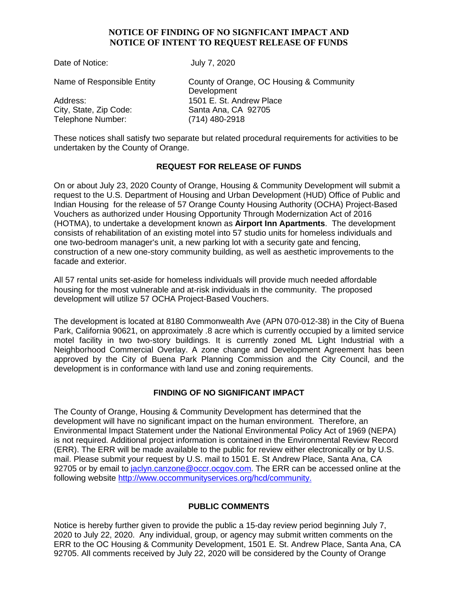#### **NOTICE OF FINDING OF NO SIGNFICANT IMPACT AND NOTICE OF INTENT TO REQUEST RELEASE OF FUNDS**

| Date of Notice:                                         | July 7, 2020                                                        |
|---------------------------------------------------------|---------------------------------------------------------------------|
| Name of Responsible Entity                              | County of Orange, OC Housing & Community<br>Development             |
| Address:<br>City, State, Zip Code:<br>Telephone Number: | 1501 E. St. Andrew Place<br>Santa Ana, CA 92705<br>$(714)$ 480-2918 |
|                                                         |                                                                     |

These notices shall satisfy two separate but related procedural requirements for activities to be undertaken by the County of Orange.

#### **REQUEST FOR RELEASE OF FUNDS**

On or about July 23, 2020 County of Orange, Housing & Community Development will submit a request to the U.S. Department of Housing and Urban Development (HUD) Office of Public and Indian Housing for the release of 57 Orange County Housing Authority (OCHA) Project-Based Vouchers as authorized under Housing Opportunity Through Modernization Act of 2016 (HOTMA), to undertake a development known as **Airport Inn Apartments**. The development consists of rehabilitation of an existing motel into 57 studio units for homeless individuals and one two-bedroom manager's unit, a new parking lot with a security gate and fencing, construction of a new one-story community building, as well as aesthetic improvements to the facade and exterior.

All 57 rental units set-aside for homeless individuals will provide much needed affordable housing for the most vulnerable and at-risk individuals in the community. The proposed development will utilize 57 OCHA Project-Based Vouchers.

The development is located at 8180 Commonwealth Ave (APN 070-012-38) in the City of Buena Park, California 90621, on approximately .8 acre which is currently occupied by a limited service motel facility in two two-story buildings. It is currently zoned ML Light Industrial with a Neighborhood Commercial Overlay. A zone change and Development Agreement has been approved by the City of Buena Park Planning Commission and the City Council, and the development is in conformance with land use and zoning requirements.

# **FINDING OF NO SIGNIFICANT IMPACT**

The County of Orange, Housing & Community Development has determined that the development will have no significant impact on the human environment. Therefore, an Environmental Impact Statement under the National Environmental Policy Act of 1969 (NEPA) is not required. Additional project information is contained in the Environmental Review Record (ERR). The ERR will be made available to the public for review either electronically or by U.S. mail. Please submit your request by U.S. mail to 1501 E. St Andrew Place, Santa Ana, CA 92705 or by email to [jaclyn.canzone@occr.ocgov.com.](mailto:jaclyn.canzone@occr.ocgov.com) The ERR can be accessed online at the following website [http://www.occommunityservices.org/hcd/community.](http://www.occommunityservices.org/hcd/community)

# **PUBLIC COMMENTS**

Notice is hereby further given to provide the public a 15-day review period beginning July 7, 2020 to July 22, 2020. Any individual, group, or agency may submit written comments on the ERR to the OC Housing & Community Development, 1501 E. St. Andrew Place, Santa Ana, CA 92705. All comments received by July 22, 2020 will be considered by the County of Orange